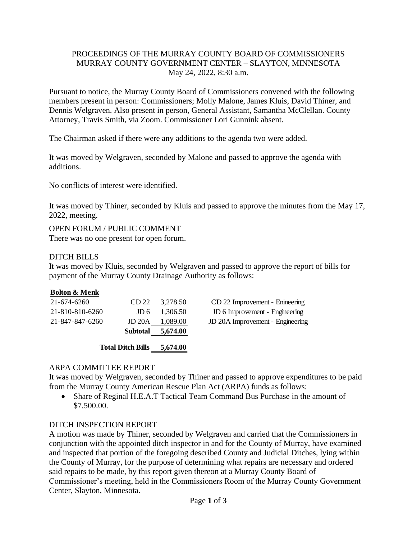# PROCEEDINGS OF THE MURRAY COUNTY BOARD OF COMMISSIONERS MURRAY COUNTY GOVERNMENT CENTER – SLAYTON, MINNESOTA May 24, 2022, 8:30 a.m.

Pursuant to notice, the Murray County Board of Commissioners convened with the following members present in person: Commissioners; Molly Malone, James Kluis, David Thiner, and Dennis Welgraven. Also present in person, General Assistant, Samantha McClellan. County Attorney, Travis Smith, via Zoom. Commissioner Lori Gunnink absent.

The Chairman asked if there were any additions to the agenda two were added.

It was moved by Welgraven, seconded by Malone and passed to approve the agenda with additions.

No conflicts of interest were identified.

It was moved by Thiner, seconded by Kluis and passed to approve the minutes from the May 17, 2022, meeting.

OPEN FORUM / PUBLIC COMMENT There was no one present for open forum.

# DITCH BILLS

It was moved by Kluis, seconded by Welgraven and passed to approve the report of bills for payment of the Murray County Drainage Authority as follows:

# **Bolton & Menk**

| <b>Total Ditch Bills</b> |                  | 5,674.00 |                                  |
|--------------------------|------------------|----------|----------------------------------|
|                          | <b>Subtotal</b>  | 5,674.00 |                                  |
| 21-847-847-6260          | JD 20A           | 1.089.00 | JD 20A Improvement - Engineering |
| 21-810-810-6260          | JD 6             | 1,306.50 | JD 6 Improvement - Engineering   |
| 21-674-6260              | CD <sub>22</sub> | 3.278.50 | CD 22 Improvement - Enineering   |

# ARPA COMMITTEE REPORT

It was moved by Welgraven, seconded by Thiner and passed to approve expenditures to be paid from the Murray County American Rescue Plan Act (ARPA) funds as follows:

• Share of Reginal H.E.A.T Tactical Team Command Bus Purchase in the amount of \$7,500.00.

# DITCH INSPECTION REPORT

A motion was made by Thiner, seconded by Welgraven and carried that the Commissioners in conjunction with the appointed ditch inspector in and for the County of Murray, have examined and inspected that portion of the foregoing described County and Judicial Ditches, lying within the County of Murray, for the purpose of determining what repairs are necessary and ordered said repairs to be made, by this report given thereon at a Murray County Board of Commissioner's meeting, held in the Commissioners Room of the Murray County Government Center, Slayton, Minnesota.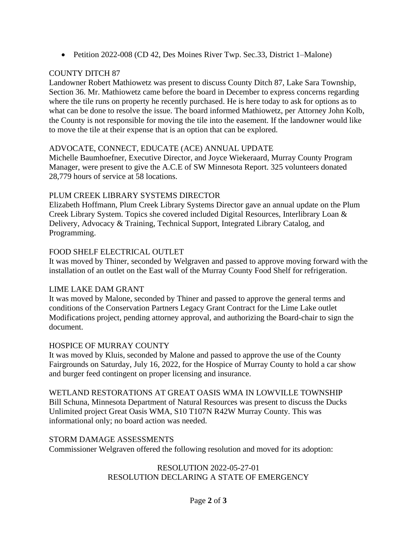• Petition 2022-008 (CD 42, Des Moines River Twp. Sec. 33, District 1–Malone)

# COUNTY DITCH 87

Landowner Robert Mathiowetz was present to discuss County Ditch 87, Lake Sara Township, Section 36. Mr. Mathiowetz came before the board in December to express concerns regarding where the tile runs on property he recently purchased. He is here today to ask for options as to what can be done to resolve the issue. The board informed Mathiowetz, per Attorney John Kolb, the County is not responsible for moving the tile into the easement. If the landowner would like to move the tile at their expense that is an option that can be explored.

# ADVOCATE, CONNECT, EDUCATE (ACE) ANNUAL UPDATE

Michelle Baumhoefner, Executive Director, and Joyce Wiekeraard, Murray County Program Manager, were present to give the A.C.E of SW Minnesota Report. 325 volunteers donated 28,779 hours of service at 58 locations.

# PLUM CREEK LIBRARY SYSTEMS DIRECTOR

Elizabeth Hoffmann, Plum Creek Library Systems Director gave an annual update on the Plum Creek Library System. Topics she covered included Digital Resources, Interlibrary Loan & Delivery, Advocacy & Training, Technical Support, Integrated Library Catalog, and Programming.

# FOOD SHELF ELECTRICAL OUTLET

It was moved by Thiner, seconded by Welgraven and passed to approve moving forward with the installation of an outlet on the East wall of the Murray County Food Shelf for refrigeration.

# LIME LAKE DAM GRANT

It was moved by Malone, seconded by Thiner and passed to approve the general terms and conditions of the Conservation Partners Legacy Grant Contract for the Lime Lake outlet Modifications project, pending attorney approval, and authorizing the Board-chair to sign the document.

# HOSPICE OF MURRAY COUNTY

It was moved by Kluis, seconded by Malone and passed to approve the use of the County Fairgrounds on Saturday, July 16, 2022, for the Hospice of Murray County to hold a car show and burger feed contingent on proper licensing and insurance.

# WETLAND RESTORATIONS AT GREAT OASIS WMA IN LOWVILLE TOWNSHIP

Bill Schuna, Minnesota Department of Natural Resources was present to discuss the Ducks Unlimited project Great Oasis WMA, S10 T107N R42W Murray County. This was informational only; no board action was needed.

# STORM DAMAGE ASSESSMENTS

Commissioner Welgraven offered the following resolution and moved for its adoption:

# RESOLUTION 2022-05-27-01 RESOLUTION DECLARING A STATE OF EMERGENCY